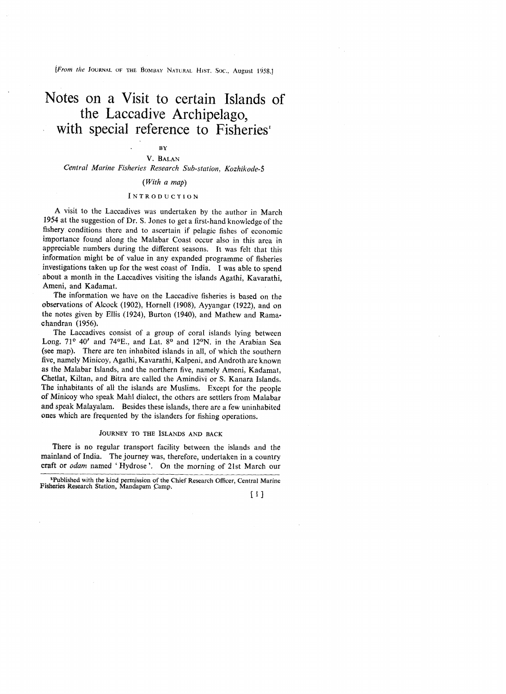**[prom the JOURNAL OF THE \$OMBAY NATURAL HIST.** *SOC.,* **August** 1958.1

# Notes on a Visit to certain Islands of the Laccadive Archipelago, with special reference to Fisheries<sup>1</sup>

# **BY**

### V. BALAN Central *Marine Fisheries Research* Sub-station, *Kozhikode-5*

### (With a map)

### INTRODUCTION

A visit to the Laccadives was undertaken by the author in March 1954 at the suggestion of Dr. S. Jones to get a first-hand knowledge of the fishery conditions there and to ascertain if pelagic fishes of economic importance found along the Malabar Coast occur also in this area in appreciable numbers during the different seasons. It was felt that this information might be of value in any expanded programme of fisheries investigations taken up for the west coast of India. I was able to spend about a month in the Laccadives visiting the islands Agathi, Kavarathi, Ameni, and Kadamat.

The information we have on the Laccadive fisheries is based on the observations of Alcock (1902), Hornell (1908), Ayyangar (1922), and on the notes given by Ellis {1924), Burton (1940), and Mathew and Ramachandran (1956).

The Laccadives consist of a group of coral islands lying between Long. 71<sup>°</sup> 40' and 74°E., and Lat. 8° and 12°N. in the Arabian Sea (see map). There are ten inhabited islands in all, of which the southern five, namely Minicoy, Agathi, Kavarathi, Kalpeni, and Androth are known as the Malabar Islands, and the northern five, namely Ameni, Kadamat, Chetlat, Kiltan, and Bitra are called the Amindivi or S. Kanara Islands, The inhabitants of all the islands are Muslims. Except for the people of Minicoy who speak Mahl dialect, the others are settlers from Malabar and speak Malayalam. Besides these islands, there are a few uninhabited ones which are frequented by the islanders for fishing operations. or *Alambar Islands*, and the northerr<br>
s the Malabar Islands, and the northerr<br>
Chetlat, Kiltan, and Bitra are called the<br>
The inhabitants of all the islands are M<br>
or *of Minicoy who speak Mahl dialect*, the *nd speak Ma* 

There is no regular transport facility between the islands and the mainland of India. The journey was, therefore, undertaken in a country craft or odam named 'Hydrose'. On the morning of 21st March our

[ 1 I

**lpublished with the kind permission of the Chief Research Officer, Central Marine Fisheries Research Station, Mandapam Camp.**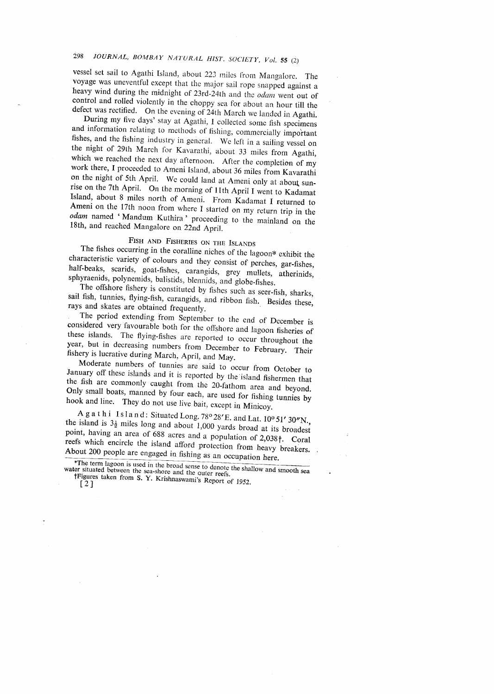#### JOURNAL, BOMBAY NATURAL HIST. SOCIETY, Vol. 55 (2) 298

vessel set sail to Agathi Island, about 223 miles from Mangalore. The voyage was uneventful except that the major sail rope snapped against a heavy wind during the midnight of 23rd-24th and the *odam* went out of control and rolled violently in the choppy sea for about an hour till the defect was rectified. On the evening of  $24$ th March we landed in Agathi.

During my five days' stay at Agathi, I collected some fish specimens and information relating to methods of fishing, commercially important fishes, and the fishing industry in general. We left in a sailing vessel on the night of 29th March for Kavarathi, about 33 miles from Agathi, which we reached the next day afternoon. After the completion of my work there, I proceeded to Ameni Island, about 36 miles from Kavarathi on the night of 5th April. We could land at Ameni only at about sunrise on the 7th April. On the morning of 11th April I went to Kadamat Island, about 8 miles north of Ameni. From Kadamat I returned to Ameni on the 17th noon from where I started on my return trip in the odam named 'Mandum Kuthira' proceeding to the mainland on the 18th, and reached Mangalore on 22nd April.

# FISH AND FISHERIES ON THE ISLANDS

The fishes occurring in the coralline niches of the lagoon\* exhibit the characteristic variety of colours and they consist of perches, gar-fishes, half-beaks, scarids, goat-fishes, carangids, grey mullets, atherinids, sphyraenids, polynemids, balistids, blennids, and globe-fishes.

The offshore fishery is constituted by fishes such as seer-fish, sharks, sail fish, tunnies, flying-fish, carangids, and ribbon fish. Besides these, rays and skates are obtained frequently.

The period extending from September to the end of December is considered very favourable both for the offshore and lagoon fisheries of these islands. The flying-fishes are reported to occur throughout the year, but in decreasing numbers from December to February. Their fishery is lucrative during March, April, and May.

Moderate numbers of tunnies are said to occur from October to January off these islands and it is reported by the island fishermen that the fish are commonly caught from the 20-fathom area and beyond. Only small boats, manned by four each, are used for fishing tunnies by hook and line. They do not use live bait, except in Minicoy.

A g a t h i Island: Situated Long. 78° 28'E. and Lat. 10° 51' 30"N. the island is  $3\frac{1}{2}$  miles long and about 1,000 yards broad at its broadest point, having an area of 688 acres and a population of 2,038†. Coral reefs which encircle the island afford protection from heavy breakers. About 200 people are engaged in fishing as an occupation here.

\*The term lagoon is used in the broad sense to denote the shallow and smooth sea water situated between the sea-shore and the outer reefs TFigures taken from S. Y. Krishnaswami's Report of 1952.

 $\lceil 2 \rceil$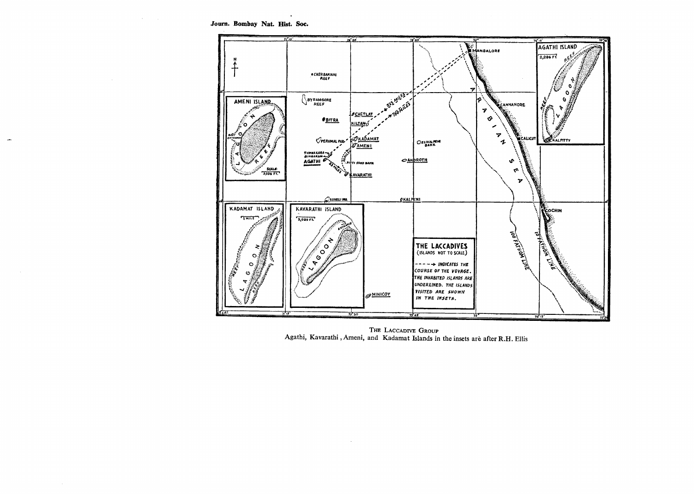Journ. Bombay Nat. Hist. Soc.

 $\mathcal{A}(\mathcal{C})$  , and  $\mathcal{C}(\mathcal{C})$ 

 $\sim$ 

 $\sim$ 

 $\sim 10^7$ 



THE LACCADIVE GROUP Agathi, Kavarathi, Ameni, and Kadamat Islands in the insets are after R.H. Ellis

 $\sim$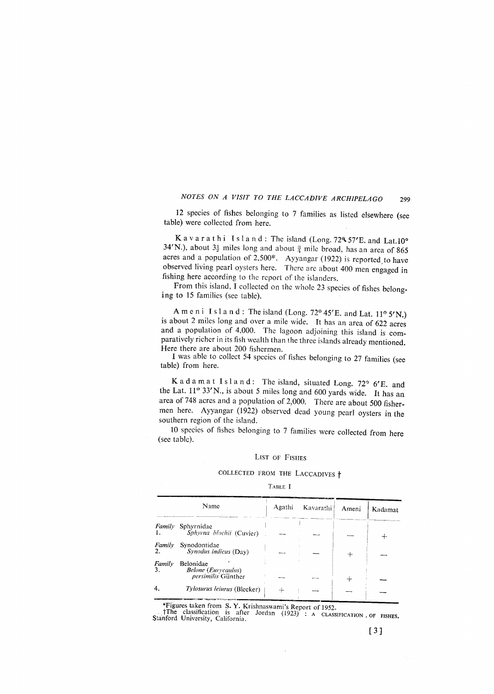12 species of fishes belonging to 7 families as listed elsewhere (see table) were collected from here.

Kavarathi Island: The island (Long. 724, 57'E. and Lat.10° 34'N.), about  $3\frac{1}{2}$  miles long and about  $\frac{3}{4}$  mile broad, has an area of 865 acres and a population of 2,500\*. Ayyangar (1922) is reported to have observed living pearl oysters here. There are about 400 men engaged in fishing here according to the report of the islanders.

From this island, I collected on the whole 23 species of fishes belonging to 15 families (see table).

A m e n i Island: The island (Long. 72° 45'E. and Lat. 11° 5'N.) is about 2 miles long and over a mile wide. It has an area of 622 acres and a population of 4,000. The lagoon adjoining this island is comparatively richer in its fish wealth than the three islands already mentioned. Here there are about 200 fishermen.

I was able to collect 54 species of fishes belonging to 27 families (see table) from here.

K a d a m a t I s l a n d: The island, situated Long. 72° 6'E. and the Lat.  $11^{\circ}$  33'N., is about 5 miles long and 600 yards wide. It has an area of 748 acres and a population of 2,000. There are about 500 fishermen here. Ayyangar (1922) observed dead young pearl oysters in the southern region of the island.

10 species of fishes belonging to 7 families were collected from here (see table).

### LIST OF FISHES

# COLLECTED FROM THE LACCADIVES  $\dagger$

### TABLE I

|              | Name                                                          | Agathi | Kavarathi | Ameni | Kadamat |
|--------------|---------------------------------------------------------------|--------|-----------|-------|---------|
| Family       | Sphyrnidae<br>Sphyrna blochii (Cuvier)                        |        |           |       |         |
| Family<br>2. | Synodontidae<br>Synodus indicus (Day)                         |        |           |       |         |
| Family       | Belonidae<br><b>Belone</b> (Eurycaulus)<br>persimilis Günther |        |           |       |         |
|              | Tylosurus leiurus (Bleeker)                                   |        |           |       |         |

\*Figures taken from S. Y. Krishnaswami's Report of 1952.

The classification is after Jordan (1923) : A CLASSIFICATION OF FISHES.<br>Stanford University, California.

 $[3]$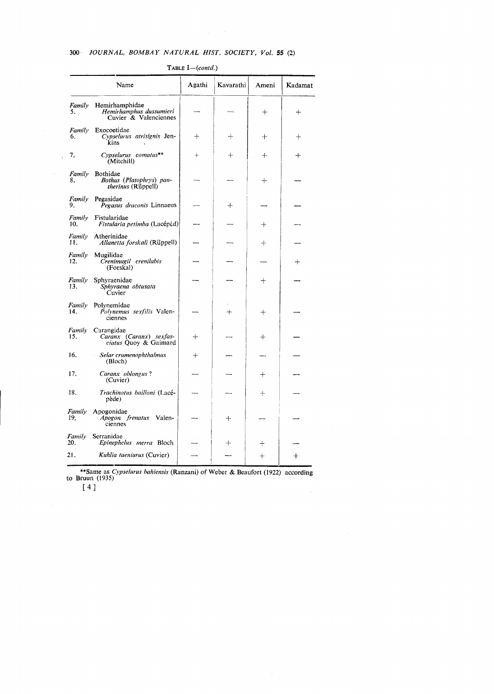#### $300 -$ JOURNAL, BOMBAY NATURAL HIST. SOCIETY, Vol. 55 (2)

Name Agathi Kavarathi Ameni Kadamat Family Hemirhamphidae<br>5. Hemirhamphus dussumieri<br>Cuvier & Valenciennes  $+$  $+$ Exocoetidae Family Cypselurus atrisignis Jen-<br>kins  $\ddot{}$  $+$  $\ddot{+}$  $+$ 6. Cypselurus comatus\*\* 7.  $\ddot{\phantom{1}}$  $+$  $+$  $+$ (Mitchill) Family Bothidae Bothus (Platophrys) pan-<br>therinus (Rüppell) 8.  $\ddot{}$ Family Pegasidae<br>9. Pegasus draconis Linnaeus  $\ddot{+}$ Family Fistularidae  $10.$ Fistularia petimba (Lacépèd)  $\ddot{+}$ Family Atherinidae  $\overline{11}$ . Allanetta forskali (Rüppell)  $+$ Family Mugilidae Crenimugil crenilabis<br>Crenimugil crenilabis<br>(Forskal)  $\overline{12}$ .  $+$ Family Sphyraenidae  $\ddot{+}$ Shyvaena obtusata<br>Cuvier 13. Family Polynemidae Polynemus sexfilis Valen-14.  $\ddot{}$  $\ddot{}$ ciennes Family Carangidae<br>15. Caranx (Caranx) sexfas-<br>ciatus Quoy & Gaimard  $+$  $+$ Selar crumenophthalmus<br>(Bloch) 16.  $+$ Caranx oblongus?<br>(Cuvier) 17.  $+$  $\overline{\phantom{a}}$ 18. Trachinotus bailloni (Lacé- $+$ pède) Family Apogonidae Apogon frenatus Valen-<br>ciennes 19.  $+$ Family<br>20. Serranidae Epinephelus merra Bloch  $+$  $\ddag$ Kuhlia taeniurus (Cuvier) 21.  $+$  $+$ 

TABLE I-(contd.)

\*\*Same as Cypselurus bahiensis (Ranzani) of Weber & Beaufort (1922) according to Bruun (1935)

 $\bar{z}$ 

 $[4]$ 

 $\overline{\phantom{a}}$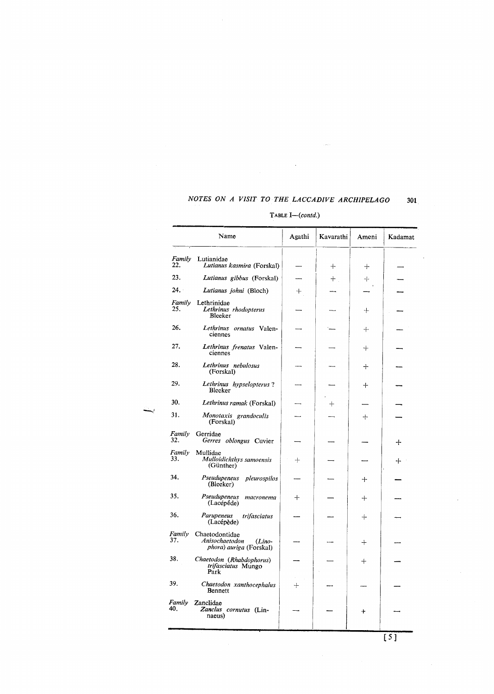$\ddot{\phantom{a}}$ 

#### TABLE I-(contd.)

 $\frac{1}{2}$ 

301

Name Agathi Kavarathi  $\mathbf K$ adamat Ameni Family Lutianidae<br>22. Lutianus Lutianus kasmira (Forskal)  $+$  $+$ 23. Lutianus gibbus (Forskal)  $^{+}$  $\! +$ <u>.</u> 24. Lutianus johni (Bloch)  $+$ Family Lethrinidae Lethrinus rhodopterus<br>Bleeker 25.  $+$ 26. Lethrinus ornatus Valen- $+$ ciennes 27. Lethrinus frenatus Valen- $+$ ciennes 28. Lethrinus nebulosus  $+$ (Forskal) 29. Lethrinus hypselopterus?  $+$ Bleeker 30. Lethrinus ramak (Forskal)  $+$  $\overline{\phantom{0}}$  $\overline{\phantom{0}}$  $31.$ Monotaxis grandoculis<br>(Forskal)  $\ddot{+}$ Family Gerridae  $\overline{32}$ . Gerres oblongus Cuvier L.  $+$ Family<br>33. Mullidae *Mulloidichthys samoensis*<br>(Günther)  $+$  $+$ Pseudupeneus pleurospilos<br>(Bleeker) 34.  $\ddot{+}$ 35. Pseudupeneus macronema  $+$  $+$ (Lacépéde) 36. Parupeneus trifasciatus  $\dot{+}$ (Lacépède) Family Chaetodontidae<br>37. *Anisochoatedo* Anisochaetodon (Lino-<br>phora) auriga (Forskal)  $+$ 38. Chaetodon (Rhabdophorus)<br>trifasciatus Mungo<br>Park  $+$ 39. Chaetodon xanthocephalus<br>Bennett  $+$ Family Zanclidae<br>40. Zanclus cornutus (Lin- $\ddot{+}$ naeus)

 $[5]$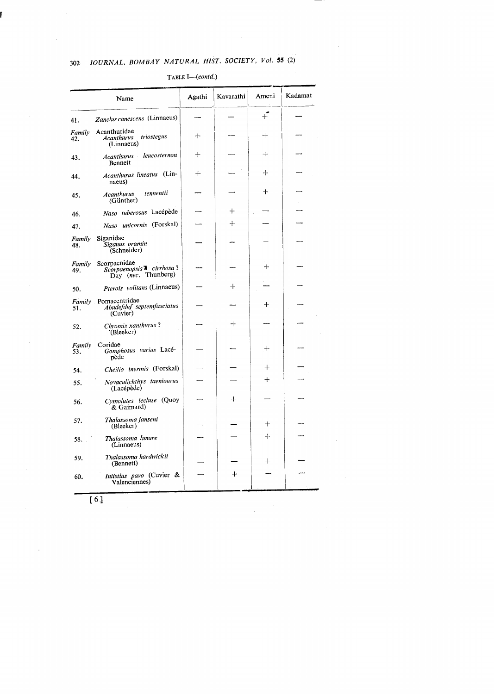#### JOURNAL, BOMBAY NATURAL HIST. SOCIETY, Vol. 55 (2) 302

#### Kadamat Agathi Kavarathi Ameni Name  $+$ Zanclus canescens (Linnaeus)  $\overline{a}$ 41. Family Acanthuridae triostegus  $+$  $+$ *Acanthurus*<br>(Linnaeus) 42. leucosternon  $+$  $+$ Acanthurus 43. Bennett Acanthurus lineatus (Lin- $\ddot{+}$  $\div$ 44. naeus)  $+$  $t$ ennentii Acanthurus 45.  $(G\text{ü}$ nther)  $+$ Naso tuberosus Lacépède 46. Naso unicornis (Forskal)  $+ \cdot$ 47. Siganidae Family  $+$ Siganus oramin<br>(Schneider)  $48.$  $ScorpaenidaeScorpaenopsis  $\overline{=}$  cirrhosa?Day (nec. Thunberg)$ Family  $+$ 49. Pterois volitans (Linnaeus) 50. Family Pomacentridae<br>51. Abudefduf se Abudefduf septemfasciatus<br>(Cuvier)  $^{+}$  $+$ Chromis xanthurus?<br>
(Bleeker) 52. Family Coridae Gomphosus varius Lacé- $^{+}$  $53.$ pède Cheilio inermis (Forskal)  $+$ 54.  $^{+}$ Novaculichthys taeniourus 55. (Lacépède) Cymolutes lecluse (Quoy  $+$ 56.  $&$  Gaimard) Thalassoma janseni 57.  $+$ (Bleeker)  $+$ Thalassoma lunare 58.  $(Linnaeus)$ Thalassoma hardwickii<br>(Bennett) 59.  $+$ Iniistius pavo (Cuvier &<br>Valenciennes)  $\ddot{}$ 60.

### TABLE  $I$ — $(contd.)$

 $[6]$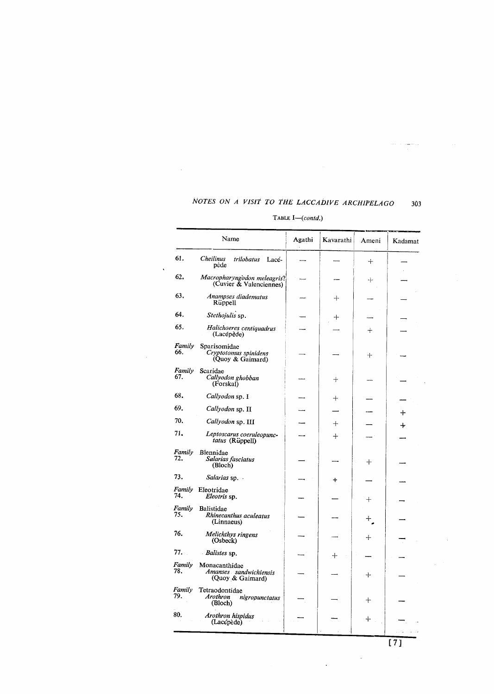## TABLE  $I$ — $(contd.)$

 $\mathcal{A}^{\text{max}}_{\text{max}}$ 

 $\Delta$ 

|               | Name                                                           | Agathi | Kavarathi          | Ameni  | Kadamat |
|---------------|----------------------------------------------------------------|--------|--------------------|--------|---------|
| 61.           | Cheilinus<br>trilobatus<br>Lacé-<br>pède                       |        |                    | $\pm$  |         |
| 62.           | Macropharyngodon meleagris?<br>(Cuvier & Valenciennes)         |        |                    | $\div$ |         |
| 63,           | Anampses diadematus<br>Rüppell                                 |        | $\hspace{0.1mm} +$ |        |         |
| 64.           | Stethojulis sp.                                                |        | ┿                  |        |         |
| 65.           | Halichoeres centiquadrus<br>(Lacépède)                         |        |                    | $\pm$  |         |
| Family<br>66. | Sparisomidae<br>Cryptotomus spinidens<br>(Quoy & Gaimard)      |        |                    | $^{+}$ |         |
| Family<br>67. | Scaridae<br>Callyodon ghobban<br>(Forskal)                     |        | $\mathrm{+}$       |        |         |
| 68.           | Callyodon sp. I                                                |        | $\pm$              |        |         |
| 69.           | Callyodon sp. II                                               |        |                    |        | ┿       |
| 70.           | Callyodon sp. III                                              |        | $^{+}$             |        | ╈       |
| 71,           | Leptoscarus coeruleopunc-<br>tatus (Rüppell)                   |        | $+$                |        |         |
| Family<br>72. | Blennidae<br>Salarias fasciatus<br>(Bloch)                     |        |                    | ┿      |         |
| 73.           | Salarias sp. .                                                 |        | $\ddot{}$          |        |         |
| Family<br>74. | Eleotridae<br>Eleotris sp.                                     |        |                    | $\pm$  |         |
| Family<br>75. | <b>Balistidae</b><br>Rhinecanthus aculeatus<br>(Linnaeus)      |        |                    | ┿      |         |
| 76.           | Melichthys ringens<br>(Osbeck)                                 |        |                    | ┿      |         |
| 77.           | Balistes sp.                                                   |        | ┿                  |        |         |
| Family<br>78. | Monacanthidae<br>Amanses sandwichiensis<br>(Quoy & Gaimard)    |        |                    | $\div$ |         |
| Family<br>79. | Tetraodontidae<br><b>Arothron</b><br>nigropunctatus<br>(Bloch) |        |                    | $\div$ |         |
| 80.           | Arothron hispidus<br>(Lacépède)                                |        |                    | $\div$ |         |

 $\label{eq:1} \begin{aligned} \text{where} \quad \mathcal{L}^{\text{in}}(\mathcal{L}^{\text{in}}) = \mathcal{L}^{\text{in}}(\mathcal{L}^{\text{in}}) = \mathcal{L}^{\text{in}}(\mathcal{L}^{\text{in}}) = \mathcal{L}^{\text{in}}(\mathcal{L}^{\text{in}}) = \mathcal{L}^{\text{in}}(\mathcal{L}^{\text{in}}) = \mathcal{L}^{\text{in}}(\mathcal{L}^{\text{in}}) = \mathcal{L}^{\text{in}}(\mathcal{L}^{\text{in}}) = \mathcal{L}^{\text{in}}(\mathcal{L}^$ 

 $\label{eq:2} \frac{1}{2} \int_{\mathbb{R}^3} \frac{1}{\sqrt{2}} \, \frac{1}{\sqrt{2}} \, \frac{1}{\sqrt{2}} \, \frac{1}{\sqrt{2}} \, \frac{1}{\sqrt{2}} \, \frac{1}{\sqrt{2}} \, \frac{1}{\sqrt{2}} \, \frac{1}{\sqrt{2}} \, \frac{1}{\sqrt{2}} \, \frac{1}{\sqrt{2}} \, \frac{1}{\sqrt{2}} \, \frac{1}{\sqrt{2}} \, \frac{1}{\sqrt{2}} \, \frac{1}{\sqrt{2}} \, \frac{1}{\sqrt{2}} \, \frac{1}{\sqrt{2}} \, \frac$ 

 $\hat{\mathcal{A}}$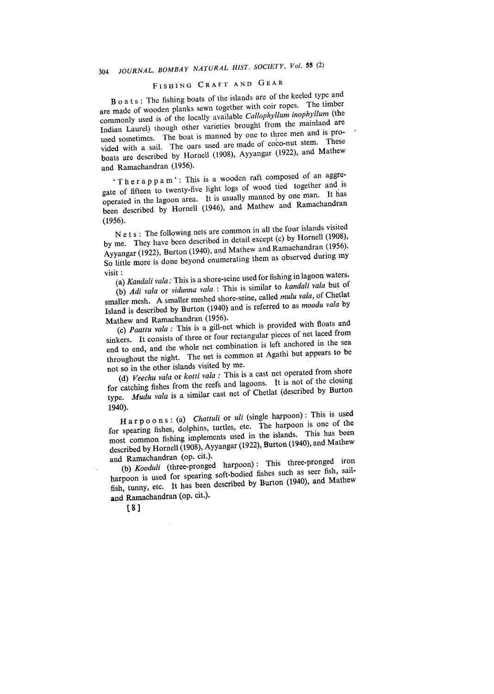### JOURNAL, BOMBAY NATURAL HIST. SOCIETY, Vol. 55 (2)  $304$

# FISHING CRAFT AND GEAR

Boats: The fishing boats of the islands are of the keeled type and are made of wooden planks sewn together with coir ropes. The timber commonly used is of the locally available *Callophyllum* inophyllum (the Indian Laurel) though other varieties brought from the mainland are used sometimes. The boat is manned by one to three men and is provided with a sail. The oars used are made of coco-nut stem. These boats are described by Hornell (1908), Ayyangar (1922), and Mathew and Ramachandran (1956).

'Therappam': This is a wooden raft composed of an aggregate of fifteen to twenty-five light logs of wood tied together and is operated in the lagoon area. It is usually manned by one man. It has been described by Hornell (1946), and Mathew and Ramachandran  $(1956).$ 

N e t s : The following nets are common in all the four islands visited by me. They have been described in detail except (c) by Hornell (1908), Ayyangar (1922), Burton (1940), and Mathew and Ramachandran (1956). So little more is done beyond enumerating them as observed during my visit :

(a) Kandali vala: This is a shore-seine used for fishing in lagoon waters.

(b) Adi vala or vidunna vala : This is similar to kandali vala but of smaller mesh. A smaller meshed shore-seine, called mulu vala, of Chetlat Island is described by Burton (1940) and is referred to as moodu vala by Mathew and Ramachandran (1956).

(c) Paattu vala : This is a gill-net which is provided with floats and sinkers. It consists of three or four rectangular pieces of net laced from end to end, and the whole net combination is left anchored in the sea throughout the night. The net is common at Agathi but appears to be not so in the other islands visited by me.

(d) Veechu vala or kotti vala : This is a cast net operated from shore for catching fishes from the reefs and lagoons. It is not of the closing type. Mudu vala is a similar cast net of Chetlat (described by Burton 1940).

Harpoons: (a) Chattuli or uli (single harpoon): This is used for spearing fishes, dolphins, turtles, etc. The harpoon is one of the most common fishing implements used in the islands. This has been described by Hornell (1908), Ayyangar (1922), Burton (1940), and Mathew and Ramachandran (op. cit.).

(b) Kooduli (three-pronged harpoon): This three-pronged iron harpoon is used for spearing soft-bodied fishes such as seer fish, sailfish, tunny, etc. It has been described by Burton (1940), and Mathew and Ramachandran (op. cit.).

 $[8]$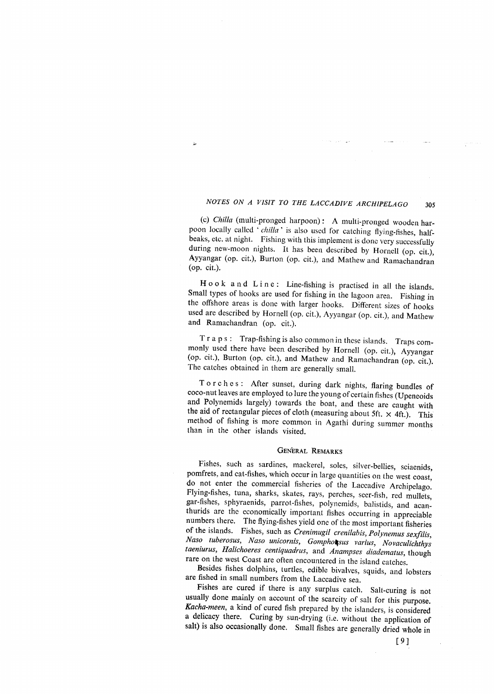(c) Chilla (multi-pronged harpoon): A multi-pronged wooden harpoon locally called 'chilla' is also used for catching flying-fishes, halfbeaks, etc. at night. Fishing with this implement is done very successfully during new-moon nights. It has been described by Hornell (op. cit.), Ayyangar (op. cit.), Burton (op. cit.), and Mathew and Ramachandran (op. cit.).

Hook and Line: Line-fishing is practised in all the islands. Small types of hooks are used for fishing in the lagoon area. Fishing in the offshore areas is done with larger hooks. Different sizes of hooks used are described by Hornell (op. cit.), Ayyangar (op. cit.), and Mathew and Ramachandran (op. cit.).

T r a p s : Trap-fishing is also common in these islands. Traps commonly used there have been described by Hornell (op. cit.), Ayyangar (op. cit.), Burton (op. cit.), and Mathew and Ramachandran (op. cit.). The catches obtained in them are generally small.

Torches: After sunset, during dark nights, flaring bundles of coco-nut leaves are employed to lure the young of certain fishes (Upeneoids and Polynemids largely) towards the boat, and these are caught with the aid of rectangular pieces of cloth (measuring about 5ft.  $\times$  4ft.). This method of fishing is more common in Agathi during summer months than in the other islands visited.

#### **GENERAL REMARKS**

Fishes, such as sardines, mackerel, soles, silver-bellies, sciaenids, pomfrets, and cat-fishes, which occur in large quantities on the west coast, do not enter the commercial fisheries of the Laccadive Archipelago. Flying-fishes, tuna, sharks, skates, rays, perches, seer-fish, red mullets, gar-fishes, sphyraenids, parrot-fishes, polynemids, balistids, and acanthurids are the economically important fishes occurring in appreciable numbers there. The flying-fishes yield one of the most important fisheries of the islands. Fishes, such as Crenimugil crenilabis, Polynemus sexfilis, Naso tuberosus, Naso unicornis, Gomphotsus varius, Novaculichthys taeniurus, Halichoeres centiquadrus, and Anampses diadematus, though rare on the west Coast are often encountered in the island catches.

Besides fishes dolphins, turtles, edible bivalves, squids, and lobsters are fished in small numbers from the Laccadive sea.

Fishes are cured if there is any surplus catch. Salt-curing is not usually done mainly on account of the scarcity of salt for this purpose. Kacha-meen, a kind of cured fish prepared by the islanders, is considered a delicacy there. Curing by sun-drying (i.e. without the application of salt) is also occasionally done. Small fishes are generally dried whole in